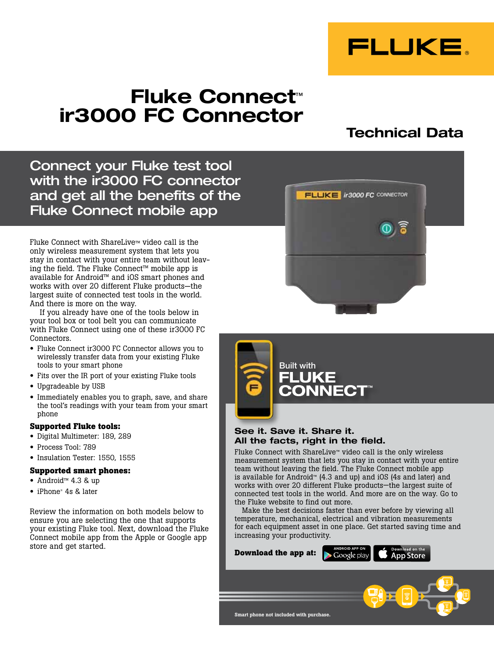

# Fluke Connect™ ir3000 FC Connector

## Technical Data

Connect your Fluke test tool with the ir3000 FC connector and get all the benefits of the Fluke Connect mobile app

Fluke Connect with ShareLive™ video call is the only wireless measurement system that lets you stay in contact with your entire team without leaving the field. The Fluke Connect™ mobile app is available for Android™ and iOS smart phones and works with over 20 different Fluke products—the largest suite of connected test tools in the world. And there is more on the way.

If you already have one of the tools below in your tool box or tool belt you can communicate with Fluke Connect using one of these ir3000 FC Connectors.

- Fluke Connect ir3000 FC Connector allows you to wirelessly transfer data from your existing Fluke tools to your smart phone
- Fits over the IR port of your existing Fluke tools
- Upgradeable by USB
- Immediately enables you to graph, save, and share the tool's readings with your team from your smart phone

#### **Supported Fluke tools:**

- Digital Multimeter: 189, 289
- Process Tool: 789
- Insulation Tester: 1550, 1555

### **Supported smart phones:**

- Android™ 4.3 & up
- iPhone® 4s & later

Review the information on both models below to ensure you are selecting the one that supports your existing Fluke tool. Next, download the Fluke Connect mobile app from the Apple or Google app store and get started.





## See it. Save it. Share it. All the facts, right in the field.

Fluke Connect with ShareLive™ video call is the only wireless measurement system that lets you stay in contact with your entire team without leaving the field. The Fluke Connect mobile app is available for Android™ (4.3 and up) and iOS (4s and later) and works with over 20 different Fluke products—the largest suite of connected test tools in the world. And more are on the way. Go to the Fluke website to find out more.

Make the best decisions faster than ever before by viewing all temperature, mechanical, electrical and vibration measurements for each equipment asset in one place. Get started saving time and increasing your productivity.